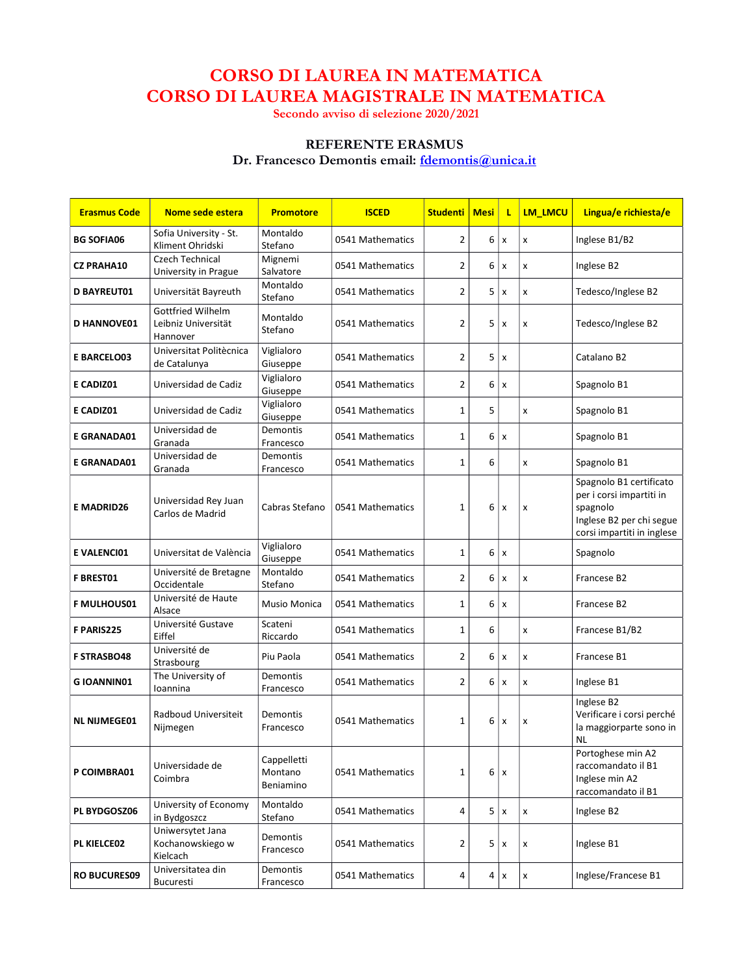## CORSO DI LAUREA IN MATEMATICA CORSO DI LAUREA MAGISTRALE IN MATEMATICA

Secondo avviso di selezione 2020/2021

## REFERENTE ERASMUS

Dr. Francesco Demontis email: fdemontis@unica.it

| <b>Erasmus Code</b> | Nome sede estera                                     | <b>Promotore</b>                    | <b>ISCED</b>     | <b>Studenti</b> | <b>Mesi</b> | τ                         | <b>LM LMCU</b> | Lingua/e richiesta/e                                                                                                      |
|---------------------|------------------------------------------------------|-------------------------------------|------------------|-----------------|-------------|---------------------------|----------------|---------------------------------------------------------------------------------------------------------------------------|
| <b>BG SOFIA06</b>   | Sofia University - St.<br>Kliment Ohridski           | Montaldo<br>Stefano                 | 0541 Mathematics | $\overline{2}$  | 6           | $\pmb{\times}$            | x              | Inglese B1/B2                                                                                                             |
| <b>CZ PRAHA10</b>   | Czech Technical<br>University in Prague              | Mignemi<br>Salvatore                | 0541 Mathematics | $\overline{2}$  | 6           | $\boldsymbol{\mathsf{x}}$ | x              | Inglese B2                                                                                                                |
| <b>D BAYREUT01</b>  | Universität Bayreuth                                 | Montaldo<br>Stefano                 | 0541 Mathematics | $\overline{2}$  | 5           | x                         | x              | Tedesco/Inglese B2                                                                                                        |
| <b>D HANNOVE01</b>  | Gottfried Wilhelm<br>Leibniz Universität<br>Hannover | Montaldo<br>Stefano                 | 0541 Mathematics | $\overline{2}$  | 5           | x                         | x              | Tedesco/Inglese B2                                                                                                        |
| <b>E BARCELO03</b>  | Universitat Politècnica<br>de Catalunya              | Viglialoro<br>Giuseppe              | 0541 Mathematics | $\overline{2}$  | 5           | x                         |                | Catalano B2                                                                                                               |
| E CADIZ01           | Universidad de Cadiz                                 | Viglialoro<br>Giuseppe              | 0541 Mathematics | $\overline{2}$  | 6           | x                         |                | Spagnolo B1                                                                                                               |
| E CADIZ01           | Universidad de Cadiz                                 | Viglialoro<br>Giuseppe              | 0541 Mathematics | $\mathbf{1}$    | 5           |                           | x              | Spagnolo B1                                                                                                               |
| E GRANADA01         | Universidad de<br>Granada                            | <b>Demontis</b><br>Francesco        | 0541 Mathematics | $\mathbf{1}$    | 6           | $\pmb{\times}$            |                | Spagnolo B1                                                                                                               |
| <b>E GRANADA01</b>  | Universidad de<br>Granada                            | <b>Demontis</b><br>Francesco        | 0541 Mathematics | $\mathbf{1}$    | 6           |                           | x              | Spagnolo B1                                                                                                               |
| <b>E MADRID26</b>   | Universidad Rey Juan<br>Carlos de Madrid             | Cabras Stefano                      | 0541 Mathematics | $\mathbf{1}$    | 6           | $\boldsymbol{\mathsf{x}}$ | x              | Spagnolo B1 certificato<br>per i corsi impartiti in<br>spagnolo<br>Inglese B2 per chi segue<br>corsi impartiti in inglese |
| <b>E VALENCIO1</b>  | Universitat de València                              | Viglialoro<br>Giuseppe              | 0541 Mathematics | $\mathbf{1}$    | 6           | X                         |                | Spagnolo                                                                                                                  |
| <b>F BREST01</b>    | Université de Bretagne<br>Occidentale                | Montaldo<br>Stefano                 | 0541 Mathematics | $\overline{2}$  | 6           | x                         | x              | Francese B2                                                                                                               |
| <b>F MULHOUS01</b>  | Université de Haute<br>Alsace                        | Musio Monica                        | 0541 Mathematics | $\mathbf{1}$    | 6           | x                         |                | Francese B2                                                                                                               |
| <b>F PARIS225</b>   | Université Gustave<br>Eiffel                         | Scateni<br>Riccardo                 | 0541 Mathematics | $\mathbf{1}$    | 6           |                           | x              | Francese B1/B2                                                                                                            |
| <b>F STRASBO48</b>  | Université de<br>Strasbourg                          | Piu Paola                           | 0541 Mathematics | $\overline{2}$  | 6           | $\mathsf{x}$              | x              | Francese B1                                                                                                               |
| <b>GIOANNIN01</b>   | The University of<br>Ioannina                        | Demontis<br>Francesco               | 0541 Mathematics | $\overline{2}$  | 6           | x                         | x              | Inglese B1                                                                                                                |
| <b>NL NIJMEGE01</b> | Radboud Universiteit<br>Nijmegen                     | Demontis<br>Francesco               | 0541 Mathematics | $\mathbf{1}$    | 6           | X                         | x              | Inglese B2<br>Verificare i corsi perché<br>la maggiorparte sono in<br>NL                                                  |
| P COIMBRA01         | Universidade de<br>Coimbra                           | Cappelletti<br>Montano<br>Beniamino | 0541 Mathematics | $\mathbf{1}$    | 6           | $\pmb{\times}$            |                | Portoghese min A2<br>raccomandato il B1<br>Inglese min A2<br>raccomandato il B1                                           |
| PL BYDGOSZ06        | University of Economy<br>in Bydgoszcz                | Montaldo<br>Stefano                 | 0541 Mathematics | $\overline{4}$  | 5           | Ιx                        | x              | Inglese B2                                                                                                                |
| PL KIELCE02         | Uniwersytet Jana<br>Kochanowskiego w<br>Kielcach     | Demontis<br>Francesco               | 0541 Mathematics | $\overline{2}$  | 5           | x                         | x              | Inglese B1                                                                                                                |
| <b>RO BUCURES09</b> | Universitatea din<br>Bucuresti                       | Demontis<br>Francesco               | 0541 Mathematics | 4               | 4           | $\pmb{\mathsf{x}}$        | x              | Inglese/Francese B1                                                                                                       |